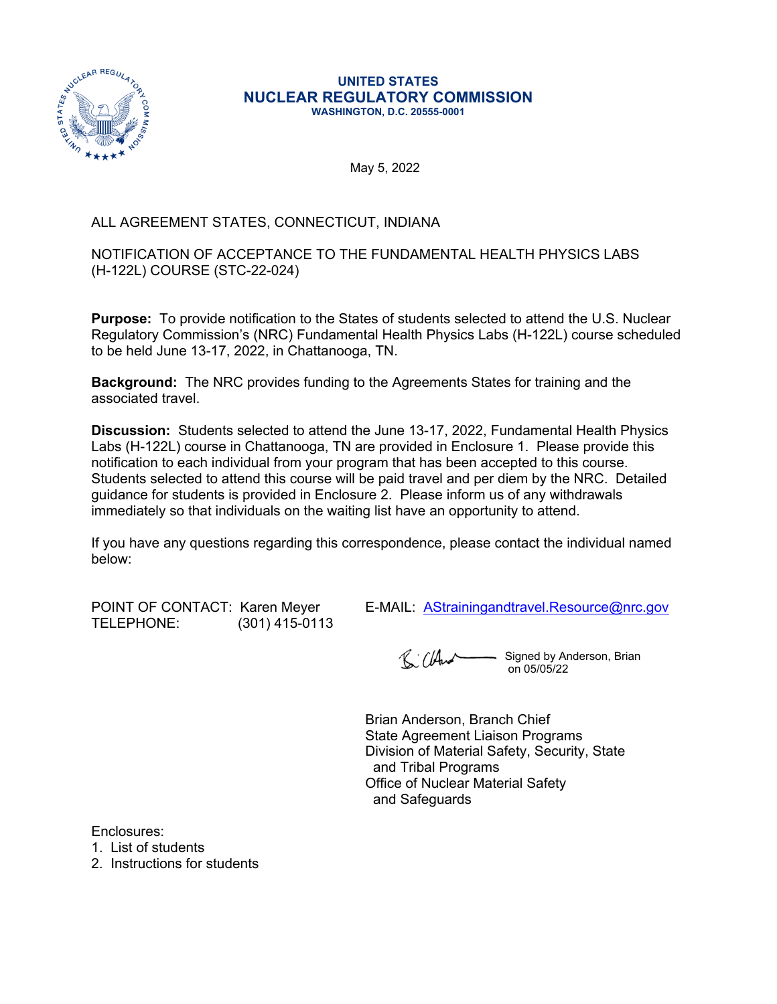

#### **UNITED STATES NUCLEAR REGULATORY COMMISSION WASHINGTON, D.C. 20555-0001**

May 5, 2022

# ALL AGREEMENT STATES, CONNECTICUT, INDIANA

### NOTIFICATION OF ACCEPTANCE TO THE FUNDAMENTAL HEALTH PHYSICS LABS (H-122L) COURSE (STC-22-024)

**Purpose:** To provide notification to the States of students selected to attend the U.S. Nuclear Regulatory Commission's (NRC) Fundamental Health Physics Labs (H-122L) course scheduled to be held June 13-17, 2022, in Chattanooga, TN.

**Background:** The NRC provides funding to the Agreements States for training and the associated travel.

**Discussion:** Students selected to attend the June 13-17, 2022, Fundamental Health Physics Labs (H-122L) course in Chattanooga, TN are provided in Enclosure 1. Please provide this notification to each individual from your program that has been accepted to this course. Students selected to attend this course will be paid travel and per diem by the NRC. Detailed guidance for students is provided in Enclosure 2. Please inform us of any withdrawals immediately so that individuals on the waiting list have an opportunity to attend.

If you have any questions regarding this correspondence, please contact the individual named below:

TELEPHONE: (301) 415-0113

POINT OF CONTACT: Karen Meyer E-MAIL: [AStrainingandtravel.Resource@nrc.gov](mailto:AStrainingandtravel.Resource@nrc.gov)

R: Cland Signed by Anderson, Brian on 05/05/22

Brian Anderson, Branch Chief State Agreement Liaison Programs Division of Material Safety, Security, State and Tribal Programs Office of Nuclear Material Safety and Safeguards

Enclosures:

1. List of students

2. Instructions for students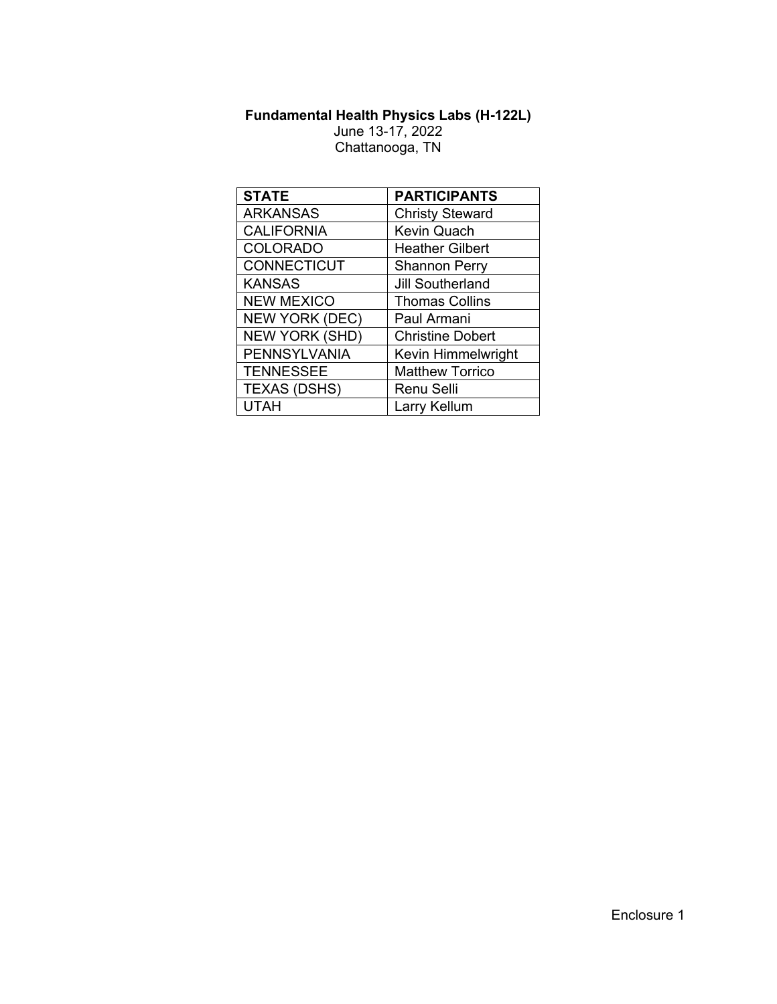# **Fundamental Health Physics Labs (H-122L)**

June 13-17, 2022 Chattanooga, TN

| <b>STATE</b>          | <b>PARTICIPANTS</b>     |  |  |
|-----------------------|-------------------------|--|--|
| <b>ARKANSAS</b>       | <b>Christy Steward</b>  |  |  |
| <b>CALIFORNIA</b>     | Kevin Quach             |  |  |
| <b>COLORADO</b>       | <b>Heather Gilbert</b>  |  |  |
| <b>CONNECTICUT</b>    | <b>Shannon Perry</b>    |  |  |
| <b>KANSAS</b>         | <b>Jill Southerland</b> |  |  |
| <b>NEW MEXICO</b>     | <b>Thomas Collins</b>   |  |  |
| <b>NEW YORK (DEC)</b> | Paul Armani             |  |  |
| <b>NEW YORK (SHD)</b> | <b>Christine Dobert</b> |  |  |
| <b>PENNSYLVANIA</b>   | Kevin Himmelwright      |  |  |
| <b>TENNESSEE</b>      | <b>Matthew Torrico</b>  |  |  |
| <b>TEXAS (DSHS)</b>   | <b>Renu Selli</b>       |  |  |
| <b>UTAH</b>           | Larry Kellum            |  |  |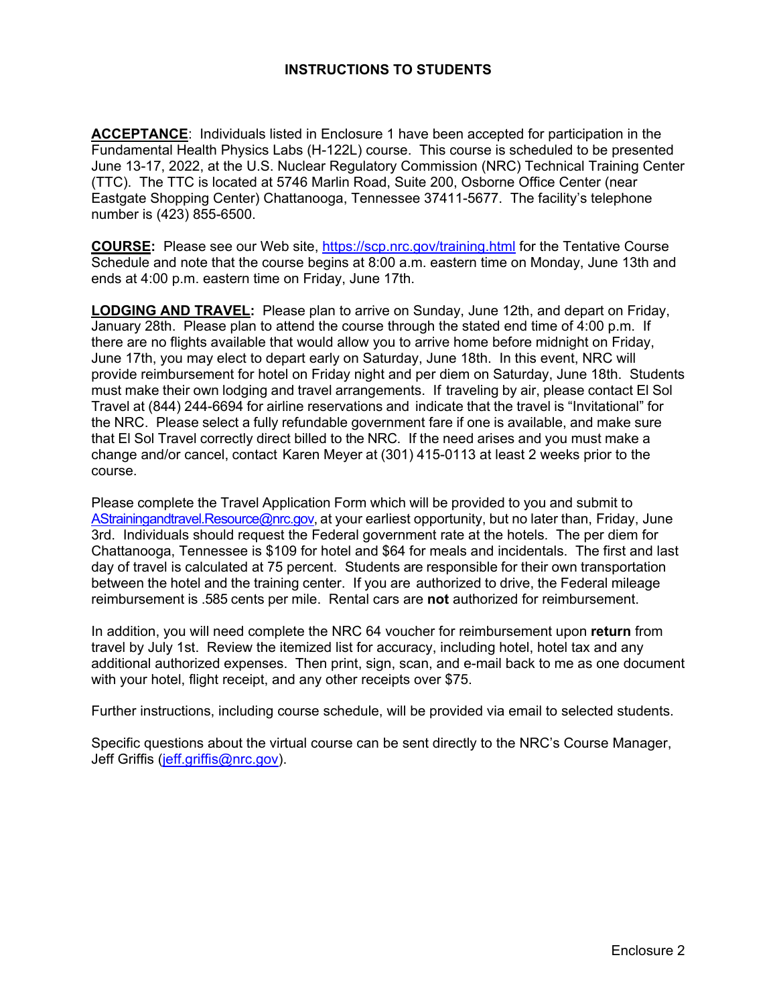# **INSTRUCTIONS TO STUDENTS**

**ACCEPTANCE**: Individuals listed in Enclosure 1 have been accepted for participation in the Fundamental Health Physics Labs (H-122L) course. This course is scheduled to be presented June 13-17, 2022, at the U.S. Nuclear Regulatory Commission (NRC) Technical Training Center (TTC). The TTC is located at 5746 Marlin Road, Suite 200, Osborne Office Center (near Eastgate Shopping Center) Chattanooga, Tennessee 37411-5677. The facility's telephone number is (423) 855-6500.

**COURSE:** Please see our Web site,<https://scp.nrc.gov/training.html> for the Tentative Course Schedule and note that the course begins at 8:00 a.m. eastern time on Monday, June 13th and ends at 4:00 p.m. eastern time on Friday, June 17th.

**LODGING AND TRAVEL:** Please plan to arrive on Sunday, June 12th, and depart on Friday, January 28th. Please plan to attend the course through the stated end time of 4:00 p.m. If there are no flights available that would allow you to arrive home before midnight on Friday, June 17th, you may elect to depart early on Saturday, June 18th. In this event, NRC will provide reimbursement for hotel on Friday night and per diem on Saturday, June 18th. Students must make their own lodging and travel arrangements. If traveling by air, please contact El Sol Travel at (844) 244-6694 for airline reservations and indicate that the travel is "Invitational" for the NRC. Please select a fully refundable government fare if one is available, and make sure that El Sol Travel correctly direct billed to the NRC. If the need arises and you must make a change and/or cancel, contact Karen Meyer at (301) 415-0113 at least 2 weeks prior to the course.

Please complete the Travel Application Form which will be provided to you and submit to [AStrainingandtravel.Resource@nrc.gov](mailto:AStrainingandtravel.Resource@nrc.gov), at your earliest opportunity, but no later than, Friday, June 3rd. Individuals should request the Federal government rate at the hotels. The per diem for Chattanooga, Tennessee is \$109 for hotel and \$64 for meals and incidentals. The first and last day of travel is calculated at 75 percent. Students are responsible for their own transportation between the hotel and the training center. If you are authorized to drive, the Federal mileage reimbursement is .585 cents per mile. Rental cars are **not** authorized for reimbursement.

In addition, you will need complete the NRC 64 voucher for reimbursement upon **return** from travel by July 1st. Review the itemized list for accuracy, including hotel, hotel tax and any additional authorized expenses. Then print, sign, scan, and e-mail back to me as one document with your hotel, flight receipt, and any other receipts over \$75.

Further instructions, including course schedule, will be provided via email to selected students.

Specific questions about the virtual course can be sent directly to the NRC's Course Manager, Jeff Griffis [\(jeff.griffis@nrc.gov](mailto:jeff.griffis@nrc.gov)).